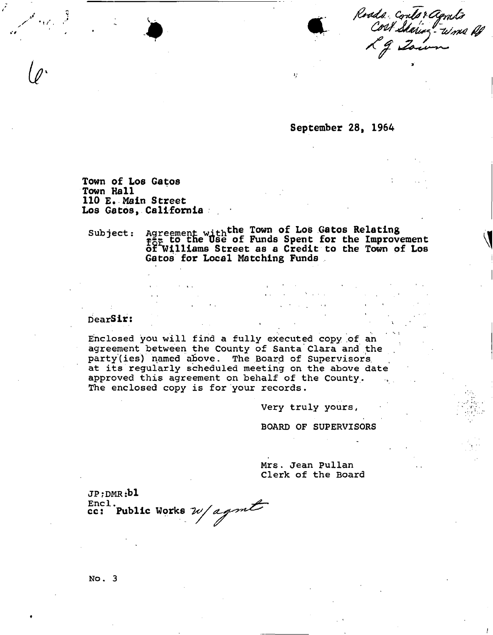Roads contor agnito<br>Cost Stating - word A

**September 28, 1964** 

 $\mathbf{r}$ 

**Town of Los Gatos Town Hall 110 E. Main Street Los Gatos, California** 

Subject: Agreement with the Town of Los Gatos Relating **for. t o t " e " 8 e o f Funds Spent for the Improvement ot Williams Street as a Credit to the Town of Los Gatos for Local Matching Funds** 

> $\Delta\Delta\phi=2\pi\pi^2$  . When  $\Delta\phi$  $\mathcal{L}^{\mathcal{L}}(\mathcal{L}^{\mathcal{L}})$  , where  $\mathcal{L}^{\mathcal{L}}(\mathcal{L}^{\mathcal{L}})$  , where

## **DearSir: . \**

**Enclosed you will find a fully executed copy of an agreement between the County of Santa Clara and the**  party(ies) named above. The Board of Supervisors **at its regularly scheduled meeting on the above date approved this agreement on behalf of the County. The enclosed copy is for your records.** 

> **Very truly yours, BOARD OF SUPERVISORS**

**Mrs. Jean Pullan Clerk of the Board** 

**JP ? DMR :bl**   $\text{End}_{\mathcal{F}}$  ,  $\mathcal{F}$  ,  $\mathcal{F}$  ,  $\mathcal{F}$ ccj **Public Works** 

**N o. 3**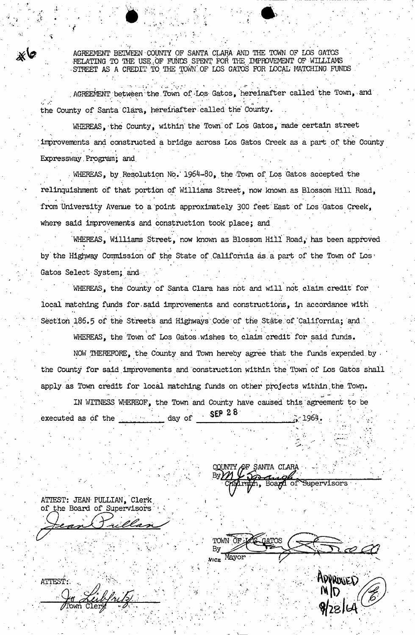AGREEMENT BETWEEN COUNTY OF SANTA CLARA AND THE TOWN OF LOS GATOS **- RELATING TO THE USE.OF FUNDS SPENT FOR THE IMPROVEMENT OF WILLIAMS**  STREET AS A CREDIT TO THE TOWN OF LOS GATOS FOR LOCAL MATCHING FUNDS

^ " " - ' •

• *f •* ' ' " \* . • ' '

the contract of the contract of the contract of the contract of the contract of the contract of the contract of

AGREEMENT between the Town of Los Gatos, hereinafter called the Town, and *><''• .* . . . *>* . **the County of Santa'Clara, hereinafter, csilled the County,** 

WHEREAS, the County, within the Town of Los Gatos, made certain street **improvements and constructed a bridge across Los Gatos Creek as a part of the County**  Expressway Program; and

WHEREAS, by Resolution No. 1964-80, the Town of Los Gatos accepted the ^ ' • \* i . ' « - **relinquishment of that portion of Williams Street, now known, as Blossom Hill Road, from University Avenue to a point approximately 300 feet' East 'of Los-Gatos Creek,**  i\_ *>* . .. . • . . \* where said improvements and construction took place; and

**WHEREAS, Williams Street, now known as Blossom Hill Road, has been approved**  \* *•* - • • «. **by'the Highway Commission of the State of .California as. a part of the Town of Los'**  Gatos Select System; and

WHEREAS, the County of Santa Clara has not and will not claim credit for local matching funds for said improvements and constructions, in accordance with Section 186.5 of the Streets and Highways Code of the State of California; and .

WHEREAS, the Town of Los Gatos wishes to claim credit for said funds.

**NOW THEREFORE, the County and Town hereby agree that the funds expended,by .**  the County for said improvements and construction within the Town of Los Gatos shall **apply as Town credit for local matching funds on other projects within.the. Town. IN WITNESS WHEREOF., the Town and County have caused this " agreement to be**  executed as of the *executed* as  $\theta$ <sup></sup> the *day* of  **2 5**  $\frac{1}{20}$  - 1964.

**ATTEST: JEAN' PULLIAN, Clerk,**  of the Board of Supervisors

**COUNTY OF SANTA CLARA** *wmJt*  **•Chamm , Boam of^Supervisors** 

**ATOS** 

• *X .* . • • •

ATTEST: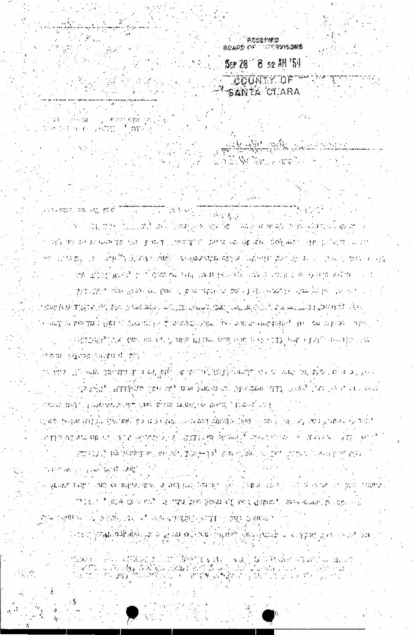น้ำเสียง อาการที่จะกายมีที่มีผลมาตั้งเป็นเป็นได้สิ่งที่ปุ่มมี และมีที่การพอผู้กำเสียในเป็นประเทศ แต่ไม่ก่อนเสม<br>กับเล่งที่เป็นเออกเที่ยวเสียง เพิ่มที่สูงเจ้าเป็นเมื่อได้เดียวเป็นเล่นที่ เมื่อเป็นเป็นเองเรื่องเป็นเว็บ เป็นป

**COM OUTEN ON A SURVEY OF SUBMANISTIC OUTEN OPERATIVES** ် ကောင်းပြုကျေးပြောဆို ရှိရှိရှိခဲ့သူ ေမွ်းရွှဲရေး ဆိုခဲ့ကြသည့် ပိုးရွက်တိုင် ပို့ရွာရပါတယ်။ မဟု ရွှေအောင်းလျက<br>ကို အသက် အသက် ပြုလုပ်ရေး ပိုးရွက်ရေး အသက် ပြုလုပ်ရေး အသက် ပြုလုပ်ရေး အသက် ပြုလုပ်ရေး အသက် ပြုလုပ်ရေး အသက် အသက်

 $\label{eq:1} \mathcal{C}=\frac{1}{2}\left[\mathcal{L}\left(\mathbf{m}^2\right)^2\left(\frac{\mathcal{L}\mathbf{m}^2}{2}\right)^2\right]\mathcal{L}\left(\frac{\mathcal{L}\mathbf{m}^2}{2}\right)^2.$ େ ସୁକ୍ରମ୍ୟୁଟ ବେଶ୍ୱ ୨୦୦୩) ଏହା ଅନ୍ୟାୟର ସ୍ଥାନରେ ସ୍ୱରାଜସ୍ଥ (ଉଦ୍ଦୁରି ନିମ୍ନାପନ୍) । ରୂଗୋ (ଉପରିଷ୍ଠ । ରେ ଏହି ଏହା ରାଜ ରୋଗ୍ରେସ (ଉପନାର୍ mage is a level of it with the care going of the suspendial manufacture in the

ුනාගි සිනු ද විශාලයන් දෙනෙකු ගැන දින් දින් දින් දින් දින් දෙනෙකු විද්යාපය ද tij vojn je Grandija (Die Umbilger) at Schlab, Loku antijeland beideen Lokna (liebel vij 1904 (Cravic Grandij la pia anatajina krijedini i je panani i jedi (godi la jaj doda). Poznajeni jede i strala do julija s prez ATO 1947 – PÅ PARKT EN ALL DE PARTIES I VOLG HALL AV DE LA TRADICATION OF TALLA

് രാജി പ്രമുഹമാക്കുന്ന നേട്ടി. ા હતુ. તે આવેલા કહેવા કહેવા બાદ પણ જોવાની દ્વિતી જોવા પહેલા કહેવાનું કહેવા જો આપ જોવા હતો. એક પણ જોવા તે તે તે ැනැණ්ය? ලැබුගුල්වැනි ලිකා අව නාග හිමුවන ගේ උලාගයින් ලැබු ලැබෙයි. උන ලෙස මෙම මගෙ

Did this, ago the frame of boys of box allowed by the factorial stop for be computed to ા પણ કેમ કો જોવા જોવી તો કોઈ તો પર એવી માટે તે તો તે તો પણ તે તે જેવા તે તો તો તો તો જે જે જે જે જે તો તો જો જો र नेस्ट्रा अक्षण क्या । हेक्रोटी ईसरूप्रिय हे क्रियाडेव्हर स्थानी की स्वास्तानकार्य स्कूटी वर्ग अस्टाउम्रतान । वर्ग 人名法巴尔德罗 医心包 化二乙酸二烯 化甲状腺 机圆体 医中央 网络一种 化二甲基 医心室 医主导管 医心神学 小说

converse record me the through us to changed ිට්ඩු සිදුව රුද්ධ යුතුව යුත්ත වුන්තු ලබා ලික මිළි - මුරුණා මෙහිද විවාහ වෙතු වේ මුරුණ ලබා i výši do do za Gorige inšeli plony ("vnorgi cili zamelovo og véto, doblove"). Hel sličia, z "Lullat ଏମା ପ୍ରତିଶତ୍ନା ଓ ଓ ଉତ୍ପତ୍ତି ଅଧିକ୍ରିୟାରି ଅନ୍ତି । ସେଣ୍ଟବ୍ୟାୟାୟାର୍ଥିରୁ ସେ ବିନିଧି ପ୍ରଦ୍ରାଧି ଥିବା ଓ ପୁରସ୍କାର ଅବସ୍ଥା କରାଯ ബ്രിയ്ക്കുടുകളിന് നിര്ത്തരം ചെയ്യുകളുടെയും പ്രയുക പത്തു കേന്ദ്ര കൊത്താവും പ

in ji shekara katika 1  $\sim 10^{11}$  K  $\mathbb{E}\left[\tau_{\text{eff}}\left(\mathbf{r}_{\text{eff}}\right)\right]\left[\mathbf{r}_{\text{eff}}\left(\mathbf{r}_{\text{eff}}\right)\right]\left[\mathbf{r}_{\text{eff}}\left(\mathbf{r}_{\text{eff}}\right)\right]$ 

اللاسم لتشرك كالأكثر

ା<br>ଅନ୍ୟର୍ପ ନାମ ାମମ୍ବାର୍ଷ<br>ଅନ୍ୟର୍ପ ନାମ ାମମ୍ବାର୍ଷ Ser 20 ' 8 52 AM '54 COUNTY OF THE SANTA CLARA

Skalik odkovalach

A REAL AND A PARTY OF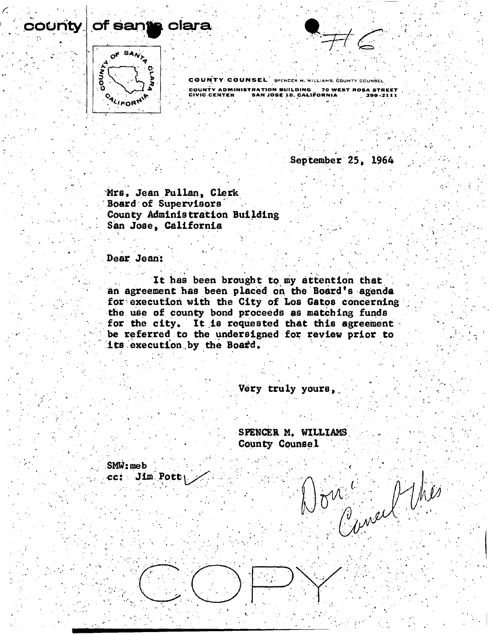

county

COUNTY COUNSEL SPENCER M, WILLIAMS, COUNTY COUNSEL COUNT Y ADMINISTRATIO N BUILDIN G 7 0 WES T ROS A STREE T CIVIC.CENTE R SA N JOS E lO , CALIFORNI A 299-211 1

 $\mathbf{r} = \left( \begin{array}{ccc} 0 & \cdots & \cdots & \mathbf{r} \end{array} \right)$ 

 $\mathcal{P}(\mathcal{P}) = \{ \mathcal{P}(\mathcal{P}) \mid \mathcal{P}(\mathcal{P}) \leq \mathcal{P}(\mathcal{P}) \}$  , if  $\mathcal{P}(\mathcal{P}) = \{ \mathcal{P}(\mathcal{P}) \mid \mathcal{P}(\mathcal{P}) \leq \mathcal{P}(\mathcal{P}) \}$ 

**September 25, 1964** 

**Mrs\* Jean Pullan, Clerk Board of Supervisors . County Administration Building San Jose | California** 

Dear Jean:

**It has been brought to my attention that**  an agreement has been placed on the Board's agenda for execution with the City of Los Gatos concerning **the use of county bond proceeds as matching funds**  for the city. It is requested that this agreement be referred to the undersigned for review prior to **its execution by the Boa£d.** 

\* \* . \*. , v ,

**Dear Jean: \** 

Very truly yours,

**SPENCER M. WILLIAMS County Counsel** 

 $\sigma^{\prime\prime}$  ,  $\rho^{\prime\prime}$  ,  $\rho^{\prime\prime}$  ,  $\rho^{\prime\prime}$ 

 **:**

 $SMW$ :  $meb$ **cc: Jim Pott:**